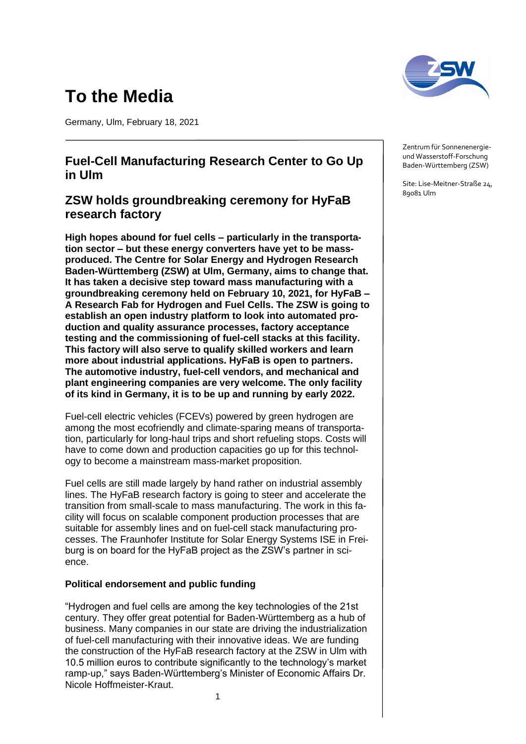# **To the Media**

Germany, Ulm, February 18, 2021

## **Fuel-Cell Manufacturing Research Center to Go Up in Ulm**

# **ZSW holds groundbreaking ceremony for HyFaB research factory**

**High hopes abound for fuel cells – particularly in the transportation sector – but these energy converters have yet to be massproduced. The Centre for Solar Energy and Hydrogen Research Baden-Württemberg (ZSW) at Ulm, Germany, aims to change that. It has taken a decisive step toward mass manufacturing with a groundbreaking ceremony held on February 10, 2021, for HyFaB – A Research Fab for Hydrogen and Fuel Cells. The ZSW is going to establish an open industry platform to look into automated production and quality assurance processes, factory acceptance testing and the commissioning of fuel-cell stacks at this facility. This factory will also serve to qualify skilled workers and learn more about industrial applications. HyFaB is open to partners. The automotive industry, fuel-cell vendors, and mechanical and plant engineering companies are very welcome. The only facility of its kind in Germany, it is to be up and running by early 2022.**

Fuel-cell electric vehicles (FCEVs) powered by green hydrogen are among the most ecofriendly and climate-sparing means of transportation, particularly for long-haul trips and short refueling stops. Costs will have to come down and production capacities go up for this technology to become a mainstream mass-market proposition.

Fuel cells are still made largely by hand rather on industrial assembly lines. The HyFaB research factory is going to steer and accelerate the transition from small-scale to mass manufacturing. The work in this facility will focus on scalable component production processes that are suitable for assembly lines and on fuel-cell stack manufacturing processes. The Fraunhofer Institute for Solar Energy Systems ISE in Freiburg is on board for the HyFaB project as the ZSW's partner in science.

## **Political endorsement and public funding**

"Hydrogen and fuel cells are among the key technologies of the 21st century. They offer great potential for Baden-Württemberg as a hub of business. Many companies in our state are driving the industrialization of fuel-cell manufacturing with their innovative ideas. We are funding the construction of the HyFaB research factory at the ZSW in Ulm with 10.5 million euros to contribute significantly to the technology's market ramp-up," says Baden-Württemberg's Minister of Economic Affairs Dr. Nicole Hoffmeister-Kraut.



Zentrum für Sonnenenergieund Wasserstoff-Forschung Baden-Württemberg (ZSW)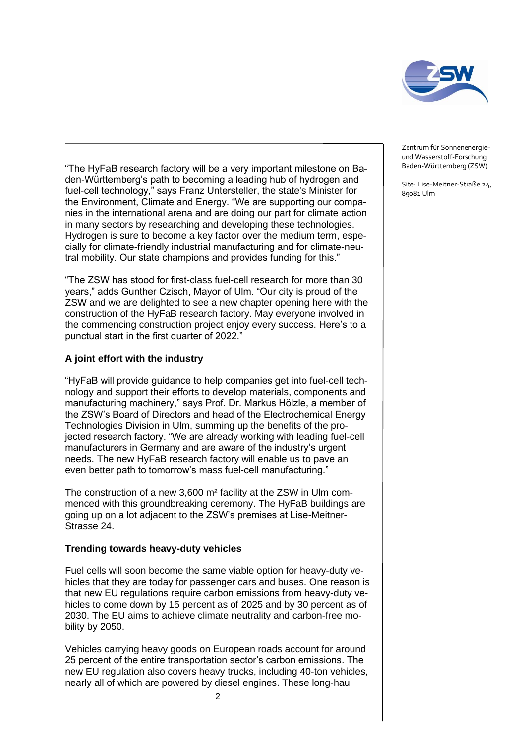

"The HyFaB research factory will be a very important milestone on Baden-Württemberg's path to becoming a leading hub of hydrogen and fuel-cell technology," says Franz Untersteller, the state's Minister for the Environment, Climate and Energy. "We are supporting our companies in the international arena and are doing our part for climate action in many sectors by researching and developing these technologies. Hydrogen is sure to become a key factor over the medium term, especially for climate-friendly industrial manufacturing and for climate-neutral mobility. Our state champions and provides funding for this."

"The ZSW has stood for first-class fuel-cell research for more than 30 years," adds Gunther Czisch, Mayor of Ulm. "Our city is proud of the ZSW and we are delighted to see a new chapter opening here with the construction of the HyFaB research factory. May everyone involved in the commencing construction project enjoy every success. Here's to a punctual start in the first quarter of 2022."

### **A joint effort with the industry**

"HyFaB will provide guidance to help companies get into fuel-cell technology and support their efforts to develop materials, components and manufacturing machinery," says Prof. Dr. Markus Hölzle, a member of the ZSW's Board of Directors and head of the Electrochemical Energy Technologies Division in Ulm, summing up the benefits of the projected research factory. "We are already working with leading fuel-cell manufacturers in Germany and are aware of the industry's urgent needs. The new HyFaB research factory will enable us to pave an even better path to tomorrow's mass fuel-cell manufacturing."

The construction of a new 3,600 m² facility at the ZSW in Ulm commenced with this groundbreaking ceremony. The HyFaB buildings are going up on a lot adjacent to the ZSW's premises at Lise-Meitner-Strasse 24.

#### **Trending towards heavy-duty vehicles**

Fuel cells will soon become the same viable option for heavy-duty vehicles that they are today for passenger cars and buses. One reason is that new EU regulations require carbon emissions from heavy-duty vehicles to come down by 15 percent as of 2025 and by 30 percent as of 2030. The EU aims to achieve climate neutrality and carbon-free mobility by 2050.

Vehicles carrying heavy goods on European roads account for around 25 percent of the entire transportation sector's carbon emissions. The new EU regulation also covers heavy trucks, including 40-ton vehicles, nearly all of which are powered by diesel engines. These long-haul

Zentrum für Sonnenenergieund Wasserstoff-Forschung Baden-Württemberg (ZSW)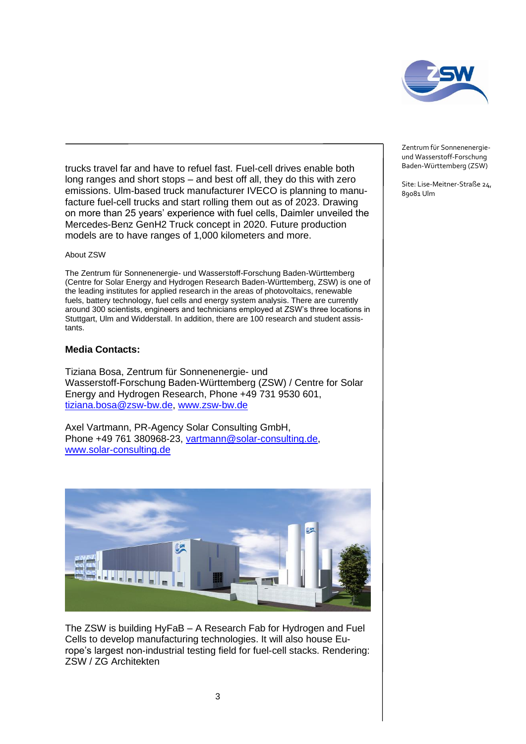

trucks travel far and have to refuel fast. Fuel-cell drives enable both long ranges and short stops – and best off all, they do this with zero emissions. Ulm-based truck manufacturer IVECO is planning to manufacture fuel-cell trucks and start rolling them out as of 2023. Drawing on more than 25 years' experience with fuel cells, Daimler unveiled the Mercedes-Benz GenH2 Truck concept in 2020. Future production models are to have ranges of 1,000 kilometers and more.

#### About ZSW

The Zentrum für Sonnenenergie- und Wasserstoff-Forschung Baden-Württemberg (Centre for Solar Energy and Hydrogen Research Baden-Württemberg, ZSW) is one of the leading institutes for applied research in the areas of photovoltaics, renewable fuels, battery technology, fuel cells and energy system analysis. There are currently around 300 scientists, engineers and technicians employed at ZSW's three locations in Stuttgart, Ulm and Widderstall. In addition, there are 100 research and student assistants.

#### **Media Contacts:**

Tiziana Bosa, Zentrum für Sonnenenergie- und Wasserstoff-Forschung Baden-Württemberg (ZSW) / Centre for Solar Energy and Hydrogen Research, Phone +49 731 9530 601, [tiziana.bosa@zsw-bw.de,](mailto:tiziana.bosa@zsw-bw.de) [www.zsw-bw.de](http://www.zsw-bw.de/)

Axel Vartmann, PR-Agency Solar Consulting GmbH, Phone +49 761 380968-23, [vartmann@solar-consulting.de,](mailto:vartmann@solar-consulting.de) [www.solar-consulting.de](http://www.solar-consulting.de/)



The ZSW is building HyFaB – A Research Fab for Hydrogen and Fuel Cells to develop manufacturing technologies. It will also house Europe's largest non-industrial testing field for fuel-cell stacks. Rendering: ZSW / ZG Architekten

Zentrum für Sonnenenergieund Wasserstoff-Forschung Baden-Württemberg (ZSW)